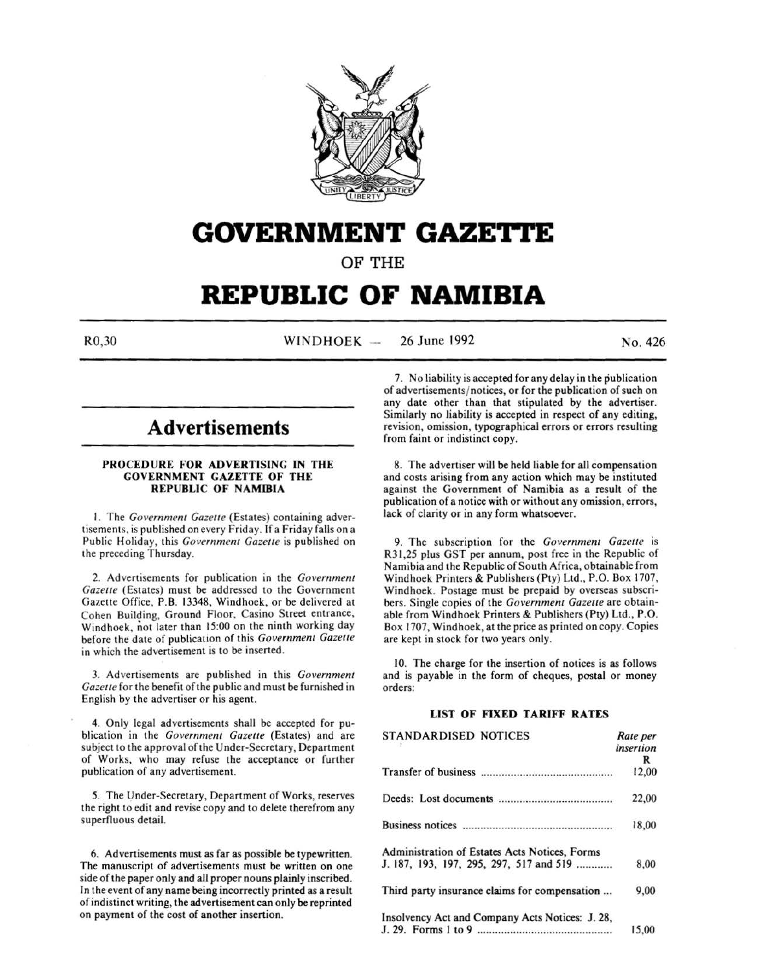

# **GOVERNMENT GAZETTE**

OF THE

# **REPUBLIC OF NAMIBIA**

R0,30 WINDHOEK --26 June 1992 No. 426

## **Advertisements**

### PROCEDURE FOR ADVERTISING IN THE GOVERNMENT GAZETTE OF THE REPUBLIC OF NAMIBIA

I. The *Government Gazette* (Estates) containing advertisements, is published on every Friday. If a Friday falls on a Public Holiday, this *Government Gazette* is published on the preceding Thursday.

2. Advertisements for publication in the *Government Gazette* (Estates) must be addressed to the Government Gazette Office, P.B. 13348, Windhoek, or be delivered at Cohen Building, Ground Floor, Casino Street entrance, Windhoek, not later than 15:00 on the ninth working day before the date of publicalion of this *Government Gazette*  in which the advertisement is to be inserted.

3. Advertisements are published in this *Government Gazelle* for the benefit of the public and must be furnished in English by the advertiser or his agent.

4. Only legal advertisements shall be accepted for publication in the *Government Gazelle* (Estates) and are subject to the approval of the Under-Secretary, Department of Works, who may refuse the acceptance or further publication of any advertisement.

5. The Under-Secretary, Department of Works, reserves the right to edit and revise copy and to delete therefrom any superfluous detail.

6. Advertisements must as far as possible be typewritten. The manuscript of advertisements must be written on one side of the paper only and all proper nouns plainly inscribed. In the event of any name being incorrectly printed as a result of indistinct writing, the advertisement can only be reprinted on payment of the cost of another insertion.

7. No liability is accepted for any delay in the publication of advertisements/ notices, or for the publication of such on any date other than that stipulated by the advertiser. Similarly no liability is accepted in respect of any editing, revision, omission, typographical errors or errors resulting from faint or indistinct copy.

8. The advertiser will be held liable for all compensation and costs arising from any action which may be instituted against the Government of Namibia as a result of the publication of a notice with or without any omission, errors, lack of clarity or in any form whatsoever.

9. The subscription for the *Government Gazelle* is R31,25 plus GST per annum, post free in the Republic of Namibia and the Republic of South Africa, obtainable from Windhoek Printers & Publishers (Pty) Ltd., P.O. Box 1707, Windhoek. Postage must be prepaid by overseas subscribers. Single copies of the *Government Gazette* are obtainable from Windhoek Printers & Publishers (Pty) Ltd., P.O. Box 1707, Windhoek, at the price as printed on copy. Copies are kept in stock for two years only.

10. The charge for the insertion of notices is as follows and is payable in the form of cheques, postal or money orders:

### **LIST OF FIXED TARIFF RATES**

| <b>STANDARDISED NOTICES</b>                     | Rate per<br>insertion |
|-------------------------------------------------|-----------------------|
|                                                 | R                     |
|                                                 | 12,00                 |
|                                                 | 22,00                 |
|                                                 | 18,00                 |
| Administration of Estates Acts Notices, Forms   |                       |
| J. 187, 193, 197, 295, 297, 517 and 519         | 8,00                  |
| Third party insurance claims for compensation   | 9,00                  |
| Insolvency Act and Company Acts Notices: J. 28, |                       |
|                                                 | 15,00                 |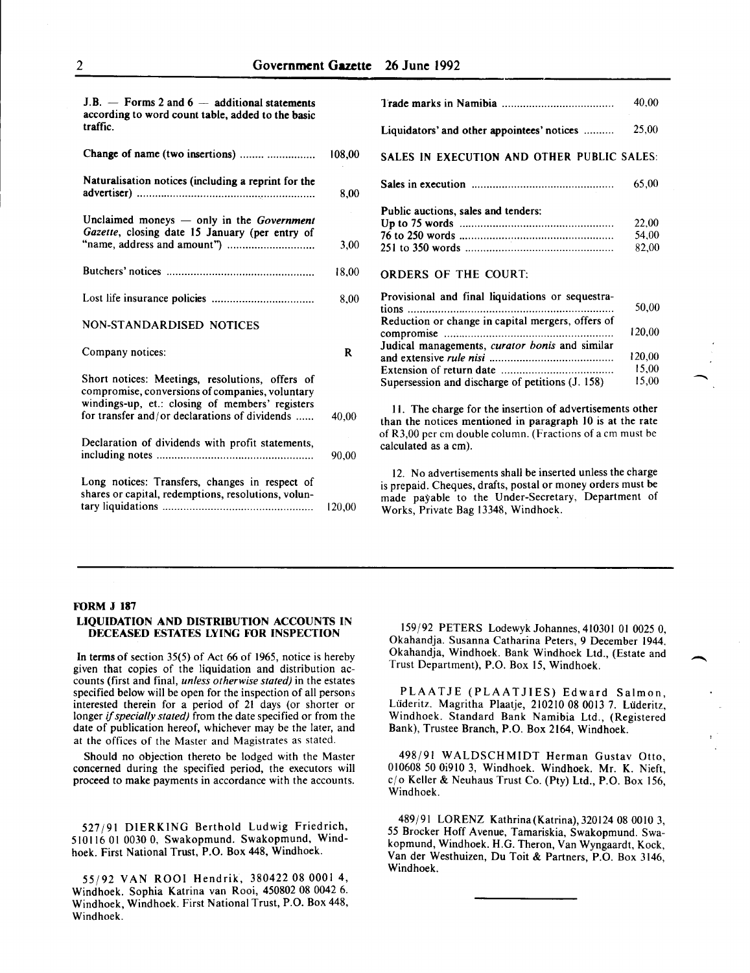| $J.B.$ - Forms 2 and $6$ - additional statements<br>according to word count table, added to the basic |              |                                                                                                                                                                                                                       | 40,00                   |
|-------------------------------------------------------------------------------------------------------|--------------|-----------------------------------------------------------------------------------------------------------------------------------------------------------------------------------------------------------------------|-------------------------|
| traffic.                                                                                              |              | Liquidators' and other appointees' notices                                                                                                                                                                            | 25,00                   |
| Change of name (two insertions)                                                                       | 108,00       | SALES IN EXECUTION AND OTHER PUBLIC SALES:                                                                                                                                                                            |                         |
| Naturalisation notices (including a reprint for the                                                   | 8.00         |                                                                                                                                                                                                                       | 65,00                   |
| Unclaimed moneys $-$ only in the <i>Government</i><br>Gazette, closing date 15 January (per entry of  | 3,00         | Public auctions, sales and tenders:                                                                                                                                                                                   | 22,00<br>54,00<br>82,00 |
|                                                                                                       | 18,00        | <b>ORDERS OF THE COURT:</b>                                                                                                                                                                                           |                         |
|                                                                                                       | 8,00         | Provisional and final liquidations or sequestra-                                                                                                                                                                      | 50,00                   |
| <b>NON-STANDARDISED NOTICES</b>                                                                       |              | Reduction or change in capital mergers, offers of                                                                                                                                                                     | 120,00                  |
| Company notices:                                                                                      | $\mathbf{R}$ | Judical managements, curator bonis and similar                                                                                                                                                                        | 120,00                  |
| Short notices: Meetings, resolutions, offers of<br>compromise, conversions of companies, voluntary    |              | Supersession and discharge of petitions (J. 158)                                                                                                                                                                      | 15,00<br>15,00          |
| windings-up, et.: closing of members' registers<br>for transfer and/or declarations of dividends      | 40,00        | 11. The charge for the insertion of advertisements other<br>than the notices mentioned in paragraph 10 is at the rate                                                                                                 |                         |
| Declaration of dividends with profit statements,                                                      | 90,00        | of R3,00 per cm double column. (Fractions of a cm must be<br>calculated as a cm).                                                                                                                                     |                         |
| Long notices: Transfers, changes in respect of<br>shares or capital, redemptions, resolutions, volun- | 120,00       | 12. No advertisements shall be inserted unless the charge<br>is prepaid. Cheques, drafts, postal or money orders must be<br>made payable to the Under-Secretary, Department of<br>Works, Private Bag 13348, Windhoek. |                         |

#### FORM J 187

## LIQUIDATION AND DISTRIBUTION ACCOUNTS IN DECEASED ESTATES LYING FOR INSPECTION

In terms of section 35(5) of Act 66 of 1965, notice is hereby given that copies of the liquidation and distribution accounts (first and final, *unless otherwise stated)* in the estates specified below will be open for the inspection of all persons interested therein for a period of 21 days (or shorter or longer if *specially stated)* from the date specified or from the date of publication hereof, whichever may be the later, and at the offices of the Master and Magistrates as stated.

Should no objection thereto be lodged with the Master concerned during the specified period, the executors will proceed to make payments in accordance with the accounts.

527/91 DIERKING Berthold Ludwig Friedrich, 510116 01 0030 0, Swakopmund. Swakopmund, Windhoek. First National Trust, P.O. Box 448, Windhoek.

55/92 VAN ROO! Hendrik, 380422 08 0001 4, Windhoek. Sophia Katrina van Rooi, 450802 08 0042 6. Windhoek, Windhoek. First National Trust, P.O. Box 448, Windhoek.

159/92 PETERS Lodewyk Johannes, 410301 01 0025 0, Okahandja. Susanna Catharina Peters, 9 December 1944. Okahandja, Windhoek. Bank Windhoek Ltd., (Estate and Trust Department), P.O. Box 15, Windhoek.

 $\overline{\phantom{a}}$ 

PLAATJE (PLAATJIES) Edward Salmon, Liideritz. Magritha Plaatje, 210210 08 0013 7. Liideritz, Windhoek. Standard Bank Namibia Ltd., (Registered Bank), Trustee Branch, P.O. Box 2164, Windhoek.

498/91 WALDSCHMIDT Herman Gustav Otto, 010608 50 Oi9l0 3, Windhoek. Windhoek. Mr. K. Nieft, cj o Keller & Neuhaus Trust Co. (Pty) Ltd., P.O. Box 156, Windhoek.

489/91 LORENZ Kathrina(Katrina),320124 08 0010 3, *55* Brocker Hoff Avenue, Tamariskia, Swakopmund. Swakopmund, Windhoek. H.G. Theron, Van Wyngaardt, Kock, Vander Westhuizen, Du Toit & Partners, P.O. Box 3146, Windhoek.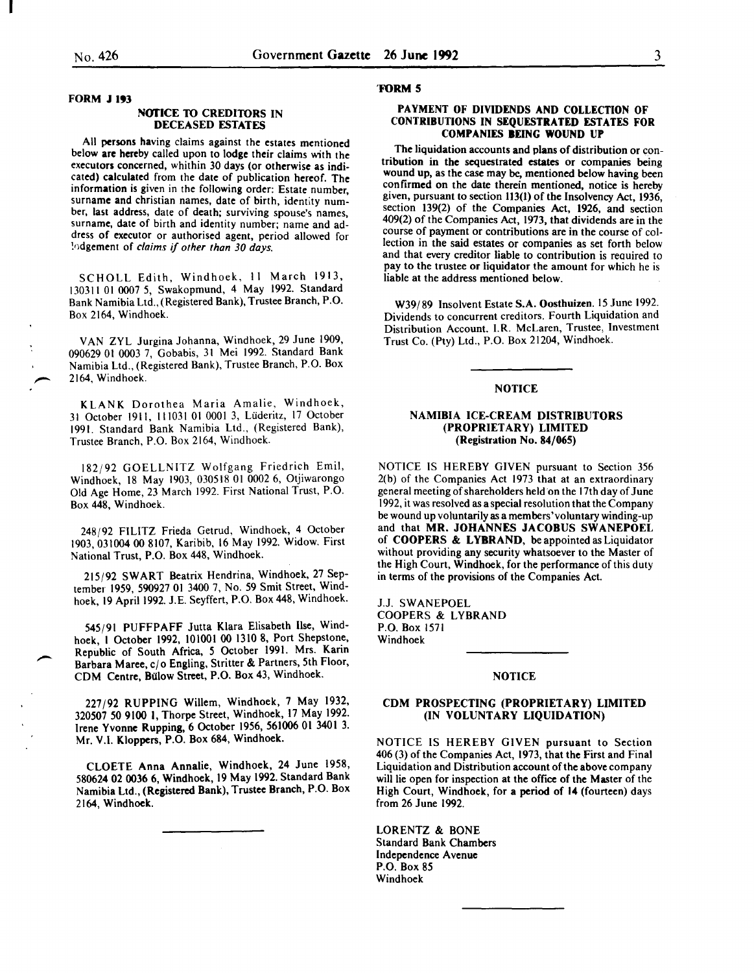FORM J 193

#### NOTICE TO CREDITORS IN DECEASED ESTATES

All persons having claims against the estates mentioned below are hereby called upon to lodge their claims with the executors concerned, whithin 30 days (or otherwise as indicated) calculated from the date of publication hereof. The information is given in the following order: Estate number, surname and christian names, date of birth, identity number, last address, date of death; surviving spouse's names, surname, date of birth and identity number; name and address of executor or authorised agent, period allowed for !odgement of *claims if other than 30 days.* 

SCHOLL Edith, Windhoek, II March 1913, 130311 01 0007 S, Swakopmund, 4 May 1992. Standard Bank Namibia Ltd., (Registered Bank), Trustee Branch, P.O. Box 2164, Windhoek.

VAN ZYL Jurgina Johanna, Windhoek, 29 June 1909, 090629 01 0003 7, Gobabis, 31 Mei 1992. Standard Bank Namibia Ltd., (Registered Bank), Trustee Branch, P.O. Box 2164. Windhoek.

KLANK Dorothea Maria Amalie, Windhoek, 31 October 1911, 111031 01 0001 3, Lüderitz, 17 October 1991. Standard Bank Namibia Ltd., (Registered Bank), Trustee Branch, P.O. Box 2164, Windhoek.

182/92 GOELLNITZ Wolfgang Friedrich Emil, Windhoek, 18 May 1903, 030518 01 0002 6, Otjiwarongo Old Age Home, 23 March 1992. First National Trust, P.O. Box 448, Windhoek.

248/92 FILITZ Frieda Getrud, Windhoek, 4 October 1903,031004 00 8107, Karibib, 16 May 1992. Widow. First National Trust, P.O. Box 448, Windhoek.

215/92 SWART Beatrix Hendrina, Windhoek, 27 September 1959, 590927 01 3400 7, No. 59 Smit Street, Windhoek, 19 April 1992. J.E. Seyffert, P.O. Box 448, Windhoek.

545/91 PUFFPAFF Jutta Klara Elisabeth llse, Windhoek, 1 October 1992, 101001 00 1310 8, Port Shepstone, Republic of South Africa, *5* October 1991. Mrs. Kann Barbara Maree, c/o Engling, Stritter & Partners, 5th Floor, CDM Centre, Bulow Street, P.O. Box 43, Windhoek.

227/92 RUPPING Willem, Windhoek, 7 May 1932, 320507 50 9100 I, Thorpe Street, Windhoek, 17 May 1992. Irene Yvonne Rupping, 6 October 1956, 561006 OJ 3401 3. Mr. V.I. Kloppers, P.O. Box 684, Windhoek.

CLOETE Anna Annalie, Windhoek, 24 June 1958, 580624 02 0036 6, Windhoek, 19 May 1992. Standard Bank Namibia Ltd., (Registered Bank), Trustee Branch, P.O. Box 2164, Windhoek.

#### 'FORM 5

## PAYMENT OF DIVIDENDS AND COLLECTION OF CONTRIBUTIONS IN SEQUESTRATED ESTATES FOR COMPANIES BEING WOUND UP

The liquidation accounts and plans of distribution or contribution in the sequestrated estates or companies being wound up, as the case may be, mentioned below having been confirmed on the date therein mentioned, notice is hereby given, pursuant to section 113(1) of the Insolvency Act, 1936, section 139(2) of the Companies Act, 1926, and section 409(2) of the Companies Act, 1973, that dividends are in the course of payment or contributions are in the course of collection in the said estates or companies as set forth below and that every creditor liable to contribution is reauired to pay to the trustee or liquidator the amount for which he is liable at the address mentioned below.

W39/89 Insolvent Estate S.A. Oosthuizen. IS June 1992. Dividends to concurrent creditors. Fourth Liquidation and Distribution Account. I.R. McLaren, Trustee, Investment Trust Co. (Pty) Ltd., P.O. Box 21204, Windhoek.

## NOTICE

#### NAMIBIA ICE-CREAM DISTRIBUTORS (PROPRIETARY) LIMITED (Registration No. 84/065)

NOTICE IS HEREBY GIVEN pursuant to Section 356 2(b) of the Companies Act 1973 that at an extraordinary general meeting of shareholders held on the 17th day of June 1992, it was resolved as a special resolution that the Company be wound up voluntarily as a members'voluntary winding-up and that MR. JOHANNES JACOBUS SWANEPOEL of COOPERS & LYBRAND, be appointed as Liquidator without providing any security whatsoever to the Master of the High Court, Windhoek, for the performance of this duty in terms of the provisions of the Companies Act.

J.J. SWANEPOEL COOPERS & LYBRAND P.O. Box 1571 Windhoek

#### NOTICE

#### CDM PROSPECTING (PROPRIETARY) LIMITED (IN VOLUNTARY LIQUIDATION)

NOTICE IS HEREBY GIVEN pursuant to Section 406 (3) of the Companies Act, 1973, that the First and Final Liquidation and Distribution account of the above company will lie open for inspection at the office of the Master of the High Court, Windhoek, for a period of 14 (fourteen) days from 26 June 1992.

LORENTZ & BONE Standard Bank Chambers Independence Avenue P.O. Box 85 Windhoek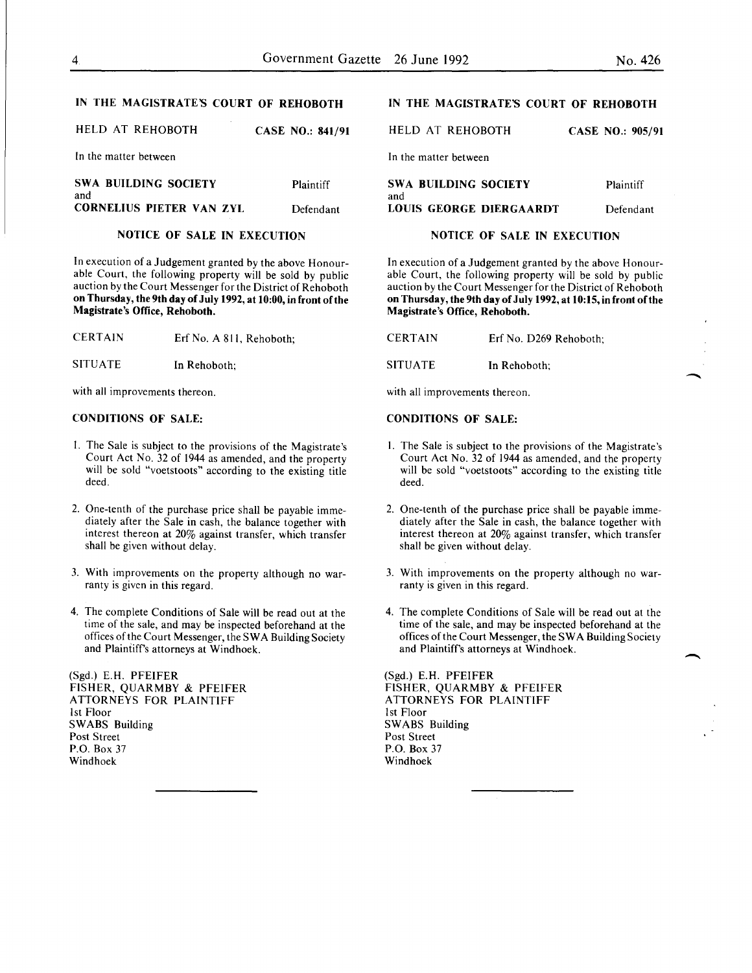Plaintiff

-

 $\overline{\phantom{a}}$ 

CASE NO.: 905/91

## IN THE MAGISTRATE'S COURT OF REHOBOTH

| HELD AT REHOBOTH      | CASE NO.: 841/91 |
|-----------------------|------------------|
| In the matter between |                  |

| ƏWA BUILDING SULIETY     | Plaintitt |
|--------------------------|-----------|
| and                      |           |
| CORNELIUS PIETER VAN ZYL | Defendant |
|                          |           |

## NOTICE OF SALE IN EXECUTION

In execution of a Judgement granted by the above Honourable Court, the following property will be sold by public auction by the Court Messenger for the District of Rehoboth on Thursday, the 9th day of July 1992, at 10:00, in front ofthe Magistrate's Office, Rehoboth.

| CERTAIN |  |  | Erf No. A 811, Rehoboth; |
|---------|--|--|--------------------------|
|---------|--|--|--------------------------|

SITUATE In Rehoboth;

with all improvements thereon.

SWA BUILDING SOCIETY

#### CONDITIONS OF SALE:

- I. The Sale is subject to the provisions of the Magistrate's Court Act No. 32 of 1944 as amended, and the property will be sold "voetstoots" according to the existing title deed.
- 2. One-tenth of the purchase price shall be payable immediately after the Sale in cash, the balance together with interest thereon at 20% against transfer, which transfer shall be given without delay.
- 3. With improvements on the property although no warranty is given in this regard.
- 4. The complete Conditions of Sale will be read out at the time of the sale, and may be inspected beforehand at the offices of the Court Messenger, the SWA Building Society and Plaintiff's attorneys at Windhoek.

(Sgd.) E.H. PFEIFER FISHER, QUARMBY & PFEIFER ATTORNEYS FOR PLAINTIFF 1st Floor SWABS Building Post Street P.O. Box 37 Windhoek

## IN THE MAGISTRATE'S COURT OF REHOBOTH

HELD AT REHOBOTH

In the matter between

| SWA BUILDING SOCIETY           | Plaintiff |
|--------------------------------|-----------|
| and<br>LOUIS GEORGE DIERGAARDT | Defendant |

## NOTICE OF SALE IN EXECUTION

In execution of a Judgement granted by the above Honourable Court, the following property will be sold by public auction by the Court Messenger for the District of Rehoboth on Thursday, the 9th day of July 1992, at 10:15, in front of the Magistrate's Office, Rehoboth.

CERTAIN Erf No. D269 Rehoboth;

SITUATE In Rehoboth:

with all improvements thereon.

#### CONDITIONS OF SALE:

- I. The Sale is subject to the provisions of the Magistrate's Court Act No. 32 of 1944 as amended, and the property will be sold "voetstoots" according to the existing title deed.
- 2. One-tenth of the purchase price shall be payable immediately after the Sale in cash, the balance together with interest thereon at 20% against transfer, which transfer shall be given without delay.
- 3. With improvements on the property although no warranty is given in this regard.
- 4. The complete Conditions of Sale will be read out at the time of the sale, and may be inspected beforehand at the offices of the Court Messenger, the SWA Building Society and Plaintiffs attorneys at Windhoek.

(Sgd.) E.H. PFEIFER FISHER, QUARMBY & PFEIFER ATTORNEYS FOR PLAINTIFF 1st Floor SWABS Building Post Street P.O. Box 37 Windhoek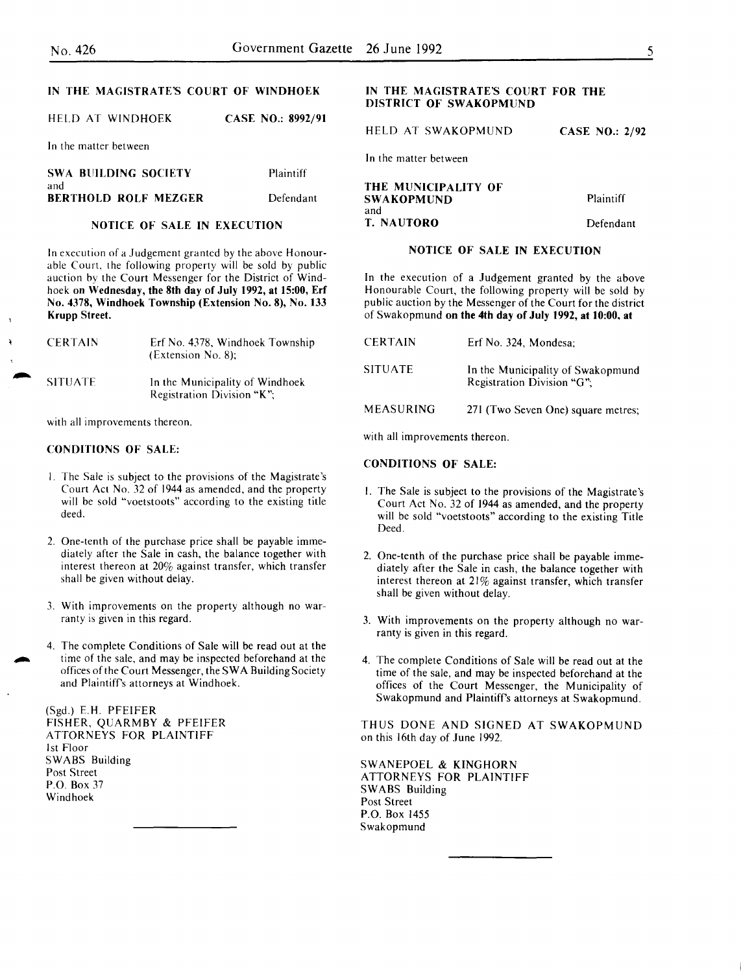## IN THE MAGISTRATE'S COURT OF WINDHOEK

HELD AT WINDHOEK CASE NO.: 8992/91

In the matter between

| SWA BUILDING SOCIETY        | Plaintiff |
|-----------------------------|-----------|
| and<br>BERTHOLD ROLF MEZGER | Defendant |

## NOTICE OF SALE IN EXECUTION

In execution of a Judgement granted by the above Honourable Court, the following property will be sold by public auction bv the Court Messenger for the District of Windhoek on Wednesday, the 8th day of July 1992, at 15:00, Erf No. 4378, Windhoek Township (Extension No.8), No. 133 Krupp Street.

| <b>CERTAIN</b> | Erf No. 4378, Windhoek Township<br>(Extension No. 8);         |
|----------------|---------------------------------------------------------------|
| <b>SITUATE</b> | In the Municipality of Windhoek<br>Registration Division "K": |

with all improvements thereon.

### CONDITIONS OF SALE:

- l. The Sale is subject to the provisions of the Magistrate's Court Act No. 32 of 1944 as amended, and the property will be sold "voetstoots" according to the existing title deed.
- 2. One-tenth of the purchase price shall be payable immediately after the Sale in cash, the balance together with interest thereon at 20% against transfer, which transfer shall be given without delay.
- 3. With improvements on the property although no warranty is given in this regard.
- 4. The complete Conditions of Sale will be read out at the time of the sale, and may be inspected beforehand at the offices of the Court Messenger, the S W A Building Society and Plaintiff's attorneys at Windhoek.

(Sgd.) E.H. PFEIFER FISHER. QUARMBY & PFEIFER ATTORNEYS FOR PLAINTIFF 1st Floor SWABS Building Post Street P.O. Box 37 Windhoek

## IN THE MAGISTRATE'S COURT FOR THE DISTRICT OF SWAKOPMUND

HELD AT SWAKOPMUND

In the matter between

| THE MUNICIPALITY OF<br>SWAKOPMUND | Plaintiff |
|-----------------------------------|-----------|
| and                               |           |
| T. NAUTORO                        | Defendant |

## NOTICE OF SALE IN EXECUTION

In the execution of a Judgement granted by the above Honourable Court, the following property will be sold by public auction by the Messenger of the Court for the district of Swakopmund on the 4th day of July 1992, at 10:00, at

| <b>CERTAIN</b>   | Erf No. 324. Mondesa:                                           |
|------------------|-----------------------------------------------------------------|
| <b>SITUATE</b>   | In the Municipality of Swakopmund<br>Registration Division "G": |
| <b>MEASURING</b> | 271 (Two Seven One) square metres;                              |

with all improvements thereon.

#### CONDITIONS OF SALE:

- I. The Sale is subject to the provisions of the Magistrate's Court Act No. 32 of 1944 as amended, and the property will be sold "voetstoots" according to the existing Title Deed.
- 2. One-tenth of the purchase price shall be payable immediately after the Sale in cash, the balance together with interest thereon at 21% against transfer, which transfer shall be given without delay.
- 3. With improvements on the property although no warranty is given in this regard.
- 4. The complete Conditions of Sale will be read out at the time of the sale, and may be inspected beforehand at the offices of the Court Messenger, the Municipality of Swakopmund and Plaintiffs attorneys at Swakopmund.

THUS DONE AND SIGNED AT SWAKOPMUND on this 16th day of June 1992.

SWANEPOEL & KINGHORN ATTORNEYS FOR PLAINTIFF SWABS Building Post Street P.O. Box 1455 Swakopmund

CASE NO.: 2/92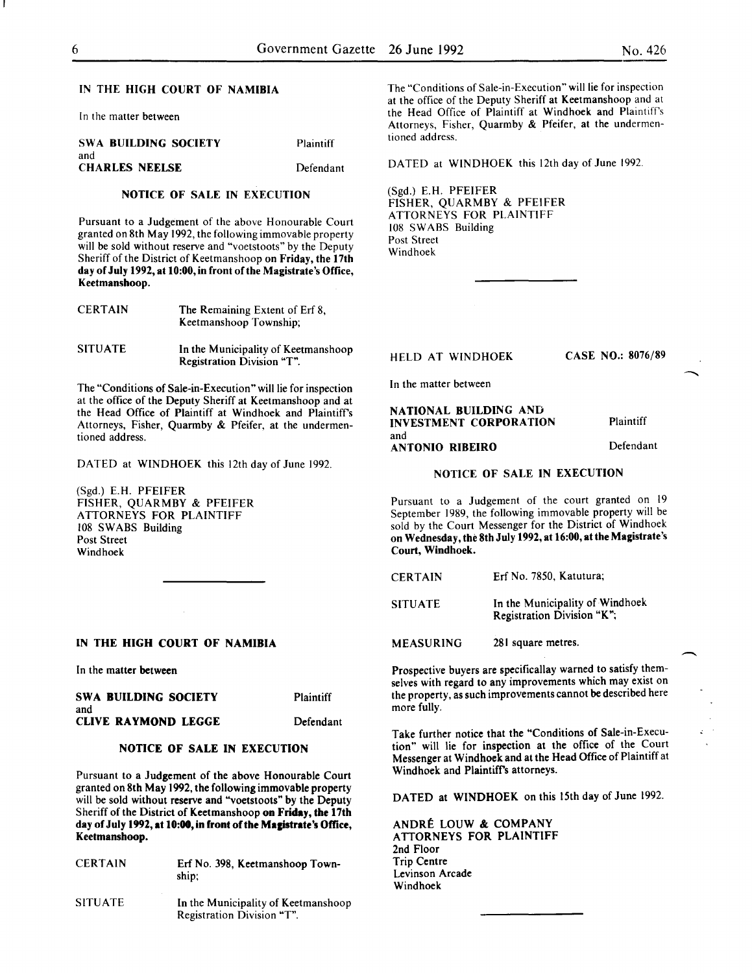#### IN THE HIGH COURT OF NAMIBIA

In the matter between

| SWA BUILDING SOCIETY<br>and | <b>Plaintiff</b> |
|-----------------------------|------------------|
| <b>CHARLES NEELSE</b>       | Defendant        |

## NOTICE OF SALE IN EXECUTION

Pursuant to a Judgement of the above Honourable Court granted on 8th May 1992, the following immovable property will be sold without reserve and "voetstoots" by the Deputy Sheriff of the District of Keetmanshoop on Friday, the 17th day of July 1992, at 10:00, in front of the Magistrate's Office, Keetmanshoop.

| <b>CERTAIN</b> | The Remaining Extent of Erf 8,<br>Keetmanshoop Township; |
|----------------|----------------------------------------------------------|
| <b>SITUATE</b> | In the Municipality of Keetmanshoop                      |

The "Conditions of Sale-in-Execution" will lie for inspection at the office of the Deputy Sheriff at Keetmanshoop and at the Head Office of Plaintiff at Windhoek and Plaintiffs Attorneys, Fisher, Quarmby & Pfeifer, at the undermentioned address.

Registration Division "T".

DATED at WINDHOEK this 12th day of June 1992.

(Sgd.) E.H. PFEIFER FISHER, QUARMBY & PFEIFER ATTORNEYS FOR PLAINTIFF 108 SWABS Building Post Street Windhoek

#### IN THE HIGH COURT OF NAMIBIA

In the matter between

| SWA BUILDING SOCIETY              | Plaintiff |
|-----------------------------------|-----------|
| and<br><b>CLIVE RAYMOND LEGGE</b> | Defendant |

#### NOTICE OF SALE IN EXECUTION

Pursuant to a Judgement of the above Honourable Court granted on 8th May 1992, the following immovable property will be sold without reserve and "voetstoots" by the Deputy Sheriff of the District of Keetmanshoop on Friday, the 17th day of July 1992, at 10:00, in front of the Magistrate's Office, Keetmanshoop.

| <b>CERTAIN</b> | Erf No. 398, Keetmanshoop Town-<br>ship;                          |
|----------------|-------------------------------------------------------------------|
| <b>SITUATE</b> | In the Municipality of Keetmanshoop<br>Registration Division "T". |

The "Conditions of Sale-in-Execution" will lie for inspection at the office of the Deputy Sheriff at Keetmanshoop and at the Head Office of Plaintiff at Windhoek and Plaintiff's Attorneys, Fisher, Quarmby & Pfeifer, at the undermentioned address.

DATED at WINDHOEK this 12th day of June 1992.

(Sgd.) E.H. PFEIFER FISHER, QUARMBY & PFEIFER ATTORNEYS FOR PLAINTIFF 108 SWABS Building Post Street Windhoek

## HELD AT WINDHOEK CASE NO.: 8076/89

In the matter between

#### NATIONAL BUILDING AND INVESTMENT CORPORATION and ANTONIO RIBEIRO Plaintiff Defendant

## NOTICE OF SALE IN EXECUTION

Pursuant to a Judgement of the court granted on 19 September 1989, the following immovable property will be sold by the Court Messenger for the District of Windhoek on Wednesday, the 8th July 1992, at 16:00, atthe Magistrate's Court, Windhoek.

SITUATE In the Municipality of Windhoek Registration Division "K ";

MEASURING 281 square metres.

Prospective buyers are specificallay warned to satisfy themselves with regard to any improvements which may exist on the property, as such improvements cannot be described here more fully.

Take further notice that the "Conditions of Sale-in-Execution" will lie for inspection at the office of the Court Messenger at Windhoek and at the Head Office of Plaintiff at Windhoek and Plaintiff's attorneys.

DATED at WINDHOEK on this 15th day of June 1992.

ANDRE LOUW & COMPANY ATTORNEYS FOR PLAINTIFF 2nd Floor Trip Centre Levinson Arcade Windhoek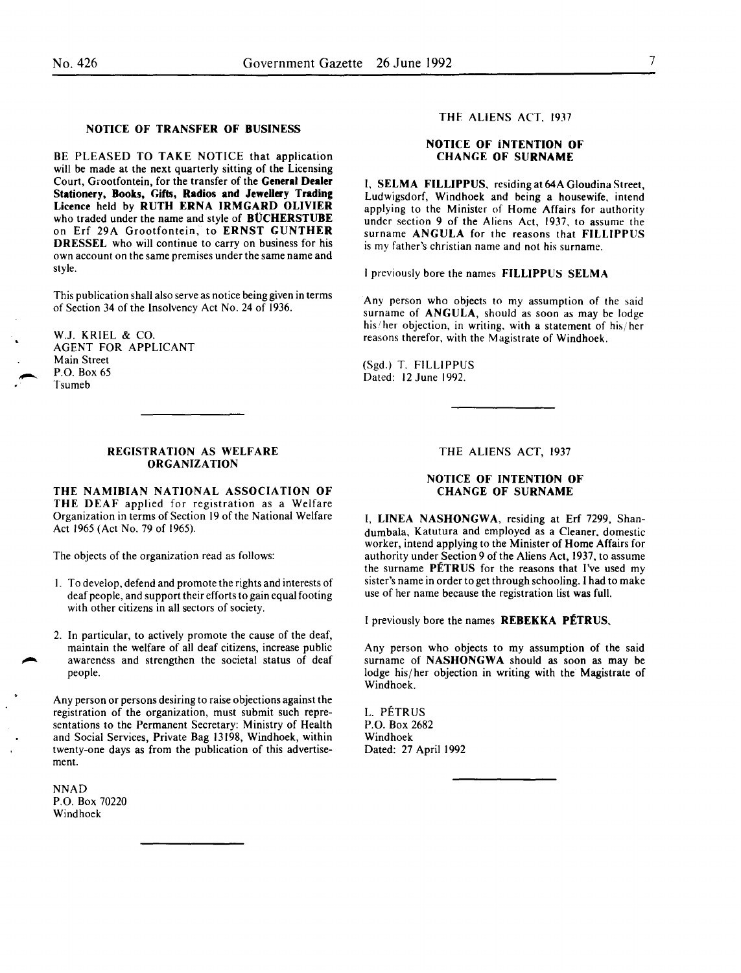#### NOTICE OF TRANSFER OF BUSINESS

BE PLEASED TO TAKE NOTICE that application will be made at the next quarterly sitting of the Licensing Court, Grootfontein, for the transfer of the General Dealer Stationery, Books, Gifts, Radios and Jewellery Trading Licence held by RUTH ERNA IRMGARD OLIVIER who traded under the name and style of **BUCHERSTUBE** on Erf 29A Grootfontein, to ERNST GUNTHER DRESSEL who will continue to carry on business for his own account on the same premises under the same name and style.

This publication shall also serve as notice being given in terms of Section 34 of the Insolvency Act No. 24 of 1936.

W.J. KRIEL & CO. AGENT FOR APPLICANT Main Street P.O. Box 65 Tsumeb

#### REGISTRATION AS WELFARE ORGANIZATION

THE NAMIBIAN NATIONAL ASSOCIATION OF THE DEAF applied for registration as a Welfare Organization in terms of Section 19 of the National Welfare Act 1965 (Act No. 79 of 1965).

The objects of the organization read as follows:

- I. To develop, defend and promote the rights and interests of deaf people, and support their efforts to gain equal footing with other citizens in all sectors of society.
- 2. In particular, to actively promote the cause of the deaf, maintain the welfare of all deaf citizens, increase public awareness and strengthen the societal status of deaf people.

Any person or persons desiring to raise objections against the registration of the organization, must submit such representations to the Permanent Secretary: Ministry of Health and Social Services, Private Bag 13198, Windhoek, within twenty-one days as from the publication of this advertisement.

NNAD P.O. Box 70220 Windhoek

### THE ALIENS ACT, 1937

## NOTICE OF iNTENTION OF CHANGE OF SURNAME

I, SELMA FILLIPPUS. residing at 64A Gloudina Street, Ludwigsdorf, Windhoek and being a housewife, intend applying to the Minister of Home Affairs for authority under section 9 of the Aliens Act, 1937. to assume the surname ANGULA for the reasons that FILLIPPUS is my father's christian name and not his surname.

I previously bore the names FILLIPPUS SELMA

Any person who objects to my assumption of the said surname of ANGULA, should as soon as may be lodge his/her objection, in writing, with a statement of his/her reasons therefor, with the Magistrate of Windhoek.

(Sgd.) T. FILLIPPUS Dated: 12 June 1992.

#### THE ALIENS ACT, 1937

## NOTICE OF INTENTION OF CHANGE OF SURNAME

I, LINEA NASHONGWA, residing at Erf 7299, Shandumbala, Katutura and employed as a Cleaner. domestic worker, intend applying to the Minister of Home Affairs for authority under Section 9 of the Aliens Act, 1937, to assume the surname PETRUS for the reasons that I've used my sister's name in order to get through schooling. I had to make use of her name because the registration list was full.

I previously bore the names REBEKKA PETRUS.

Any person who objects to my assumption of the said surname of NASHONGWA should as soon as may be lodge his/her objection in writing with the Magistrate of Windhoek.

L. PETRUS P.O. Box 2682 Windhoek Dated: 27 April 1992